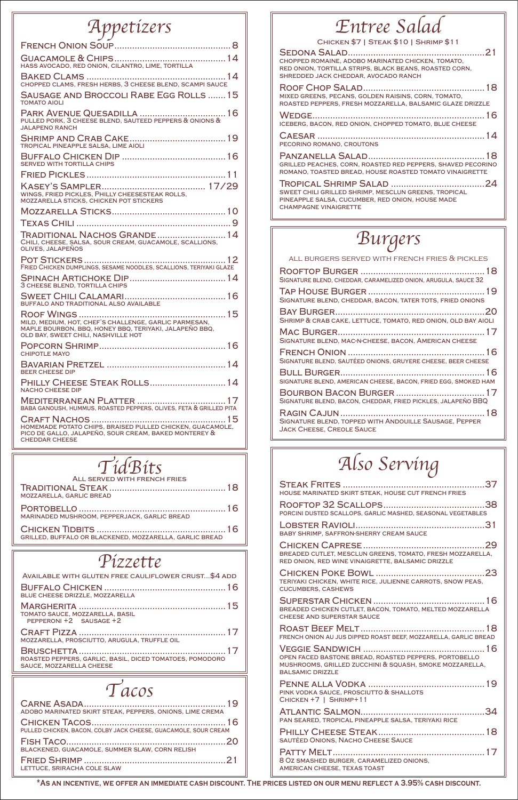| HASS AVOCADO, RED ONION, CILANTRO, LIME, TORTILLA                                                                                                      |
|--------------------------------------------------------------------------------------------------------------------------------------------------------|
| CHOPPED CLAMS, FRESH HERBS, 3 CHEESE BLEND, SCAMPI SAUCE                                                                                               |
| <b>SAUSAGE AND BROCCOLI RABE EGG ROLLS 15</b><br><b>TOMATO AIOLI</b>                                                                                   |
| PULLED PORK, 3 CHEESE BLEND, SAUTEED PEPPERS & ONIONS &<br><b>JALAPENO RANCH</b>                                                                       |
| TROPICAL PINEAPPLE SALSA, LIME AIOLI                                                                                                                   |
| SERVED WITH TORTILLA CHIPS                                                                                                                             |
|                                                                                                                                                        |
| WINGS, FRIED PICKLES, PHILLY CHEESESTEAK ROLLS,<br>MOZZARELLA STICKS, CHICKEN POT STICKERS                                                             |
|                                                                                                                                                        |
|                                                                                                                                                        |
| TRADITIONAL NACHOS GRANDE  14<br>CHILI, CHEESE, SALSA, SOUR CREAM, GUACAMOLE, SCALLIONS,<br>OLIVES, JALAPEÑOS                                          |
| FRIED CHICKEN DUMPLINGS, SESAME NOODLES, SCALLIONS, TERIYAKI GLAZE                                                                                     |
| 3 CHEESE BLEND, TORTILLA CHIPS                                                                                                                         |
| BUFFALO AND TRADITIONAL ALSO AVAILABLE                                                                                                                 |
| MILD, MEDIUM, HOT, CHEF'S CHALLENGE, GARLIC PARMESAN,<br>MAPLE BOURBON, BBQ, HONEY BBQ, TERIYAKI, JALAPEÑO BBQ,<br>OLD BAY, SWEET CHILI, NASHVILLE HOT |
| <b>CHIPOTLE MAYO</b>                                                                                                                                   |
| <b>BEER CHEESE DIP</b>                                                                                                                                 |
| PHILLY CHEESE STEAK ROLLS 14<br><b>NACHO CHEESE DIP</b>                                                                                                |
| BABA GANOUSH, HUMMUS, ROASTED PEPPERS, OLIVES, FETA & GRILLED PITA                                                                                     |
| HOMEMADE POTATO CHIPS, BRAISED PULLED CHICKEN, GUACAMOLE,<br>PICO DE GALLO, JALAPEÑO, SOUR CREAM, BAKED MONTEREY &<br><b>CHEDDAR CHEESE</b>            |

| CHOPPED ROMAINE, ADOBO MARINATED CHICKEN, TOMATO,<br>RED ONION, TORTILLA STRIPS, BLACK BEANS, ROASTED CORN,<br>SHREDDED JACK CHEDDAR, AVOCADO RANCH |
|-----------------------------------------------------------------------------------------------------------------------------------------------------|
| MIXED GREENS, PECANS, GOLDEN RAISINS, CORN, TOMATO,<br>ROASTED PEPPERS, FRESH MOZZARELLA, BALSAMIC GLAZE DRIZZLE                                    |
| ICEBERG, BACON, RED ONION, CHOPPED TOMATO, BLUE CHEESE                                                                                              |
| PECORINO ROMANO, CROUTONS                                                                                                                           |
| GRILLED PEACHES, CORN, ROASTED RED PEPPERS, SHAVED PECORINO<br>ROMANO, TOASTED BREAD, HOUSE ROASTED TOMATO VINAIGRETTE                              |
| SWEET CHILI GRILLED SHRIMP, MESCLUN GREENS, TROPICAL<br>PINEAPPLE SALSA, CUCUMBER, RED ONION, HOUSE MADE<br><b>CHAMPAGNE VINAIGRETTE</b>            |

Buffalo Chicken ................................................16 blue cheese drizzle, mozzarella

Margherita ..........................................................15 tomato sauce, mozzarella, basil pepperoni +2 sausage +2

Craft Pizza ..........................................................17 mozzarella, prosciutto, arugula, truffle oil

Bruschetta..........................................................17 roasted peppers, garlic, basil, diced tomatoes, pomodoro sauce, mozzarella cheese

| ADOBO MARINATED SKIRT STEAK, PEPPERS, ONIONS, LIME CREMA        |  |
|-----------------------------------------------------------------|--|
| PULLED CHICKEN, BACON, COLBY JACK CHEESE, GUACAMOLE, SOUR CREAM |  |
| BLACKENED, GUACAMOLE, SUMMER SLAW, CORN RELISH                  |  |
| LETTUCE, SRIRACHA COLE SLAW                                     |  |

Traditional Steak..............................................18

mozzarella, garlic bread

Portobello ..........................................................16 marinaded mushroom, pepperjack, garlic bread

Chicken Tidbits ...................................................16 grilled, buffalo or blackened, mozzarella, garlic bread

| HOUSE MARINATED SKIRT STEAK, HOUSE CUT FRENCH FRIES                                                            |  |
|----------------------------------------------------------------------------------------------------------------|--|
| PORCINI DUSTED SCALLOPS, GARLIC MASHED, SEASONAL VEGETABLES                                                    |  |
| <b>BABY SHRIMP, SAFFRON-SHERRY CREAM SAUCE</b>                                                                 |  |
| BREADED CUTLET, MESCLUN GREENS, TOMATO, FRESH MOZZARELLA,<br>RED ONION, RED WINE VINAIGRETTE, BALSAMIC DRIZZLE |  |
| TERIYAKI CHICKEN, WHITE RICE, JULIENNE CARROTS, SNOW PEAS,                                                     |  |

| <b>CUCUMBERS, CASHEWS</b>                                                                                                                   |
|---------------------------------------------------------------------------------------------------------------------------------------------|
| BREADED CHICKEN CUTLET, BACON, TOMATO, MELTED MOZZARELLA<br><b>CHEESE AND SUPERSTAR SAUCE</b>                                               |
| FRENCH ONION AU JUS DIPPED ROAST BEEF, MOZZARELLA, GARLIC BREAD                                                                             |
| OPEN FACED BASTONE BREAD, ROASTED PEPPERS, PORTOBELLO<br>MUSHROOMS, GRILLED ZUCCHINI & SQUASH, SMOKE MOZZARELLA,<br><b>BALSAMIC DRIZZLE</b> |
| PINK VODKA SAUCE, PROSCIUTTO & SHALLOTS<br>CHICKEN +7   SHRIMP+11                                                                           |
| PAN SEARED, TROPICAL PINEAPPLE SALSA, TERIYAKI RICE                                                                                         |
| <b>SAUTÉED ONIONS, NACHO CHEESE SAUCE</b>                                                                                                   |
| 8 OZ SMASHED BURGER, CARAMELIZED ONIONS,<br><b>AMERICAN CHEESE, TEXAS TOAST</b>                                                             |
|                                                                                                                                             |

| SIGNATURE BLEND, CHEDDAR, CARAMELIZED ONION, ARUGULA, SAUCE 32 |  |
|----------------------------------------------------------------|--|
| SIGNATURE BLEND, CHEDDAR, BACON, TATER TOTS, FRIED ONIONS      |  |
|                                                                |  |
| SHRIMP & CRAB CAKE, LETTUCE, TOMATO, RED ONION, OLD BAY AIOLI  |  |

Mac Burger..........................................................17 Signature blend, mac-n-cheese, bacon, American cheese

French Onion ......................................................16 Signature blend, sautéed onions, gruyere cheese, beer cheese

Bull Burger.........................................................16 signature blend, american cheese, bacon, fried egg, smoked ham

Bourbon Bacon Burger ...................................17 Signature blend, bacon, cheddar, fried pickles, jalapeño BBQ

Ragin Cajun.........................................................18 Signature blend, topped with Andouille Sausage, Pepper Jack Cheese, Creole Sauce

# Also Serving

Available with gluten free cauliflower crust...\$4 add

## Appetizers | Entree Salad

CHICKEN \$7 | STEAK \$10 | SHRIMP \$11

| TidBits                      |
|------------------------------|
| ALL SERVED WITH FRENCH FRIES |

# Pizzette





\*As an incentive, we offer an immediate cash discount. The prices listed on our menu reflect a 3.95% cash discount.

all burgers served with french fries & pickles